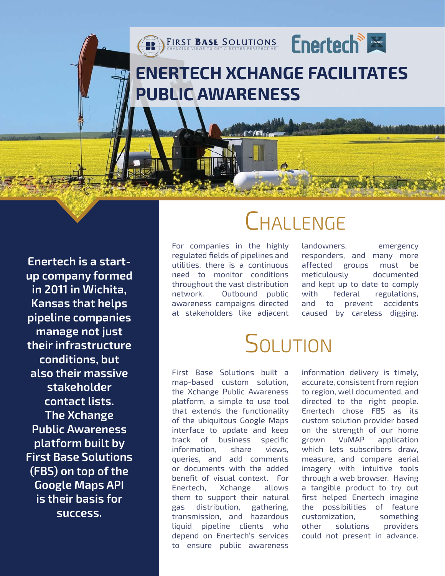### **[ENERTECH XCHANGE FACILITATES](http://www.firstbasesolutions.com/)  PUBLIC AWARENESS**

FIRST BASE SOLUTIONS

**Enertech is a startup company formed in 2011 in Wichita, Kansas that helps pipeline companies manage not just their infrastructure conditions, but also their massive stakeholder contact lists. The Xchange Public Awareness platform built by First Base Solutions (FBS) on top of the Google Maps API is their basis for success.**

## **CHALLENGE**

**Enertech** 

For companies in the highly regulated fields of pipelines and utilities, there is a continuous need to monitor conditions throughout the vast distribution network. Outbound public awareness campaigns directed at stakeholders like adjacent landowners, emergency responders, and many more affected groups must be meticulously documented and kept up to date to comply with federal regulations, and to prevent accidents caused by careless digging.

# **SOLUTION**

First Base Solutions built a map-based custom solution, the Xchange Public Awareness platform, a simple to use tool that extends the functionality of the ubiquitous Google Maps interface to update and keep track of business specific information, share views, queries, and add comments or documents with the added benefit of visual context. For Enertech, Xchange allows them to support their natural gas distribution, gathering, transmission, and hazardous liquid pipeline clients who depend on Enertech's services to ensure public awareness

information delivery is timely, accurate, consistent from region to region, well documented, and directed to the right people. Enertech chose FBS as its custom solution provider based on the strength of our home grown VuMAP application which lets subscribers draw, measure, and compare aerial imagery with intuitive tools through a web browser. Having a tangible product to try out first helped Enertech imagine the possibilities of feature customization, something other solutions providers could not present in advance.